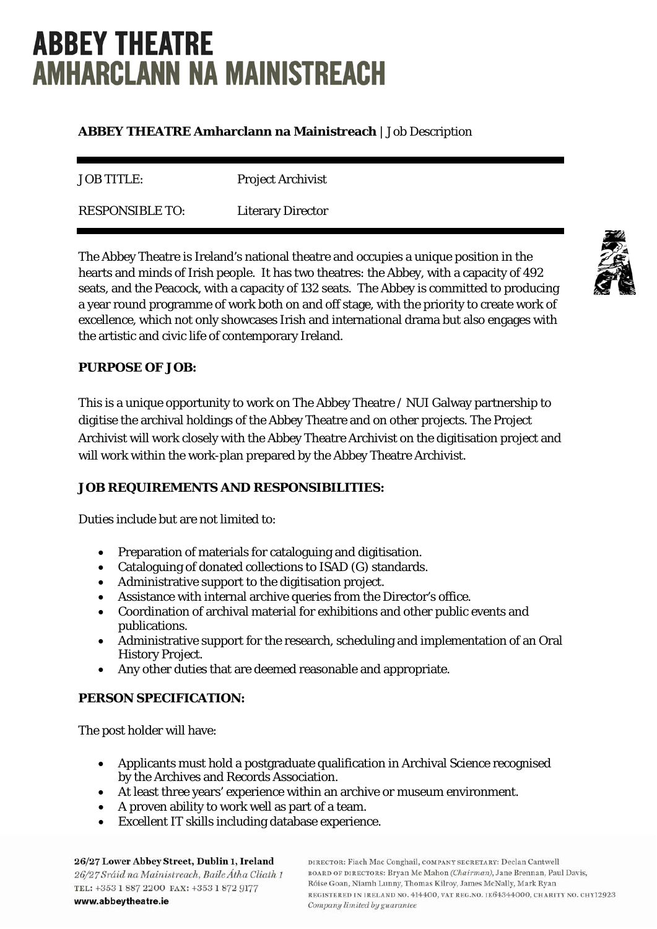# **ABBEY THEATRE AMHARCLANN NA MAINISTREACH**

## **ABBEY THEATRE Amharclann na Mainistreach** | Job Description

JOB TITLE: Project Archivist

RESPONSIBLE TO: Literary Director

The Abbey Theatre is Ireland's national theatre and occupies a unique position in the hearts and minds of Irish people. It has two theatres: the Abbey, with a capacity of 492 seats, and the Peacock, with a capacity of 132 seats. The Abbey is committed to producing a year round programme of work both on and off stage, with the priority to create work of excellence, which not only showcases Irish and international drama but also engages with the artistic and civic life of contemporary Ireland.

# **PURPOSE OF JOB:**

This is a unique opportunity to work on The Abbey Theatre / NUI Galway partnership to digitise the archival holdings of the Abbey Theatre and on other projects. The Project Archivist will work closely with the Abbey Theatre Archivist on the digitisation project and will work within the work-plan prepared by the Abbey Theatre Archivist.

## **JOB REQUIREMENTS AND RESPONSIBILITIES:**

Duties include but are not limited to:

- Preparation of materials for cataloguing and digitisation.
- Cataloguing of donated collections to ISAD (G) standards.
- Administrative support to the digitisation project.
- Assistance with internal archive queries from the Director's office.
- Coordination of archival material for exhibitions and other public events and publications.
- Administrative support for the research, scheduling and implementation of an Oral History Project.
- Any other duties that are deemed reasonable and appropriate.

# **PERSON SPECIFICATION:**

The post holder will have:

- Applicants must hold a postgraduate qualification in Archival Science recognised by the Archives and Records Association.
- At least three years' experience within an archive or museum environment.
- A proven ability to work well as part of a team.
- Excellent IT skills including database experience.

26/27 Lower Abbey Street, Dublin 1, Ireland 26/27 Sráid na Mainistreach, Baile Átha Cliath 1 TEL: +353 1 887 2200 FAX: +353 1 872 9177 www.abbeytheatre.ie

DIRECTOR: Fiach Mac Conghail, COMPANY SECRETARY: Declan Cantwell BOARD OF DIRECTORS: Bryan Mc Mahon (Chairman), Jane Brennan, Paul Davis, Róise Goan, Niamh Lunny, Thomas Kilroy, James McNally, Mark Ryan REGISTERED IN IRELAND NO. 414400, VAT REG.NO. 1E64344000, CHARITY NO. CHY12923 Company limited by guarantee

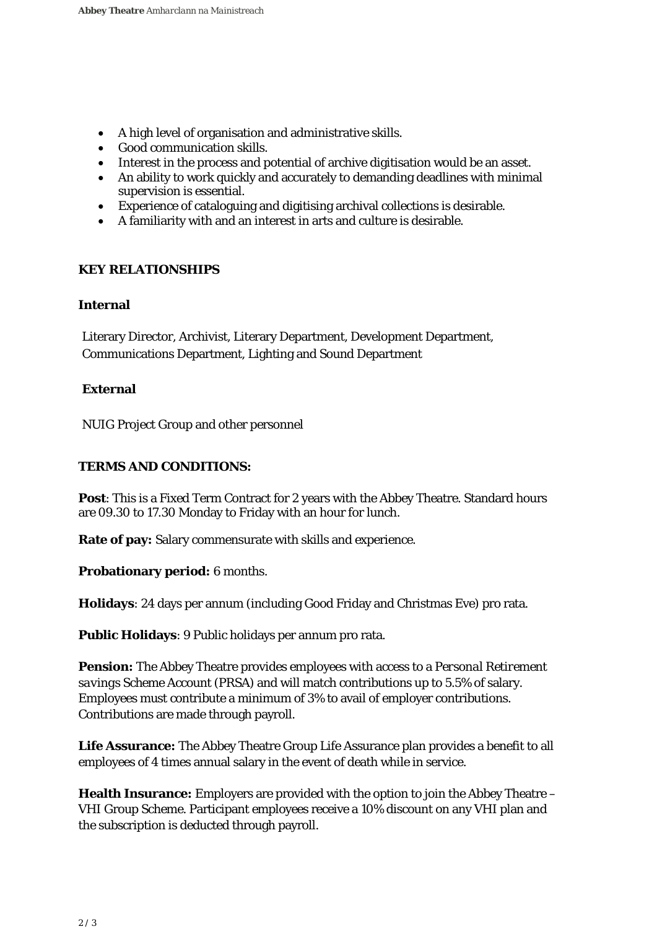- A high level of organisation and administrative skills.
- Good communication skills.
- Interest in the process and potential of archive digitisation would be an asset.
- An ability to work quickly and accurately to demanding deadlines with minimal supervision is essential.
- Experience of cataloguing and digitising archival collections is desirable.
- A familiarity with and an interest in arts and culture is desirable.

#### **KEY RELATIONSHIPS**

#### **Internal**

Literary Director, Archivist, Literary Department, Development Department, Communications Department, Lighting and Sound Department

#### **External**

NUIG Project Group and other personnel

#### **TERMS AND CONDITIONS:**

**Post**: This is a Fixed Term Contract for 2 years with the Abbey Theatre. Standard hours are 09.30 to 17.30 Monday to Friday with an hour for lunch.

**Rate of pay:** Salary commensurate with skills and experience.

#### **Probationary period:** 6 months.

**Holidays**: 24 days per annum (including Good Friday and Christmas Eve) pro rata.

**Public Holidays**: 9 Public holidays per annum pro rata.

**Pension:** The Abbey Theatre provides employees with access to a *Personal Retirement savings Scheme Account* (PRSA) and will match contributions up to 5.5% of salary. Employees must contribute a minimum of 3% to avail of employer contributions. Contributions are made through payroll.

**Life Assurance:** The Abbey Theatre Group Life Assurance plan provides a benefit to all employees of 4 times annual salary in the event of death while in service.

**Health Insurance:** Employers are provided with the option to join the Abbey Theatre – VHI Group Scheme. Participant employees receive a 10% discount on any VHI plan and the subscription is deducted through payroll.